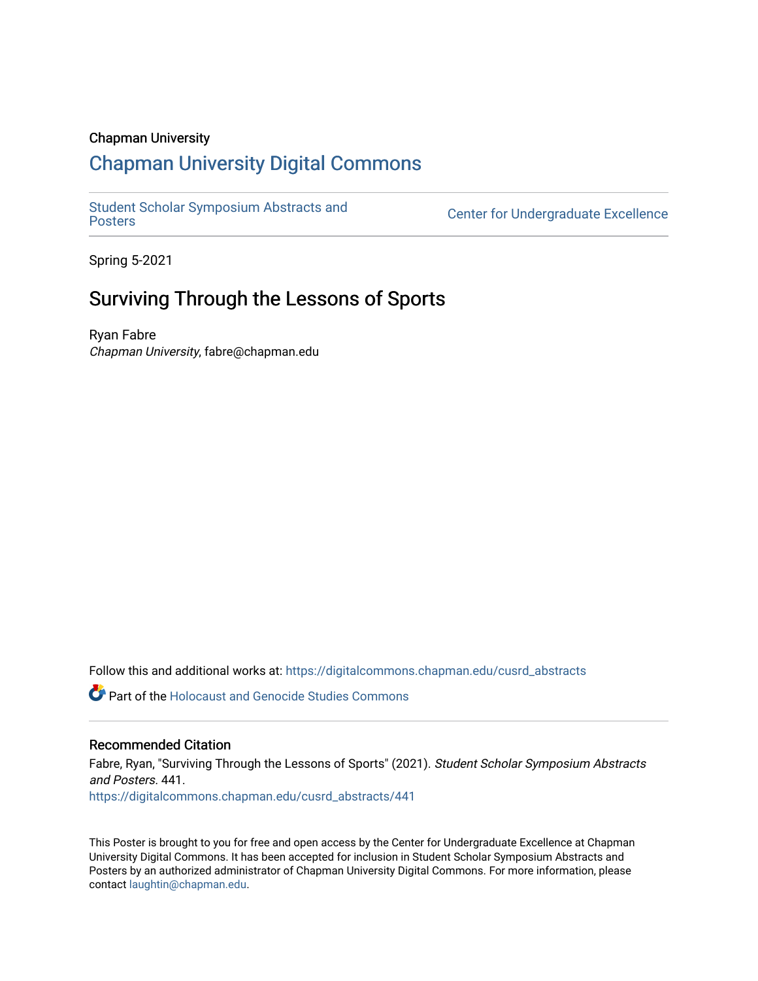### Chapman University

## [Chapman University Digital Commons](https://digitalcommons.chapman.edu/)

[Student Scholar Symposium Abstracts and](https://digitalcommons.chapman.edu/cusrd_abstracts) 

Center for Undergraduate Excellence

Spring 5-2021

## Surviving Through the Lessons of Sports

Ryan Fabre Chapman University, fabre@chapman.edu

Follow this and additional works at: [https://digitalcommons.chapman.edu/cusrd\\_abstracts](https://digitalcommons.chapman.edu/cusrd_abstracts?utm_source=digitalcommons.chapman.edu%2Fcusrd_abstracts%2F441&utm_medium=PDF&utm_campaign=PDFCoverPages) 

**C** Part of the Holocaust and Genocide Studies Commons

### Recommended Citation

Fabre, Ryan, "Surviving Through the Lessons of Sports" (2021). Student Scholar Symposium Abstracts and Posters. 441. [https://digitalcommons.chapman.edu/cusrd\\_abstracts/441](https://digitalcommons.chapman.edu/cusrd_abstracts/441?utm_source=digitalcommons.chapman.edu%2Fcusrd_abstracts%2F441&utm_medium=PDF&utm_campaign=PDFCoverPages) 

This Poster is brought to you for free and open access by the Center for Undergraduate Excellence at Chapman University Digital Commons. It has been accepted for inclusion in Student Scholar Symposium Abstracts and Posters by an authorized administrator of Chapman University Digital Commons. For more information, please contact [laughtin@chapman.edu](mailto:laughtin@chapman.edu).